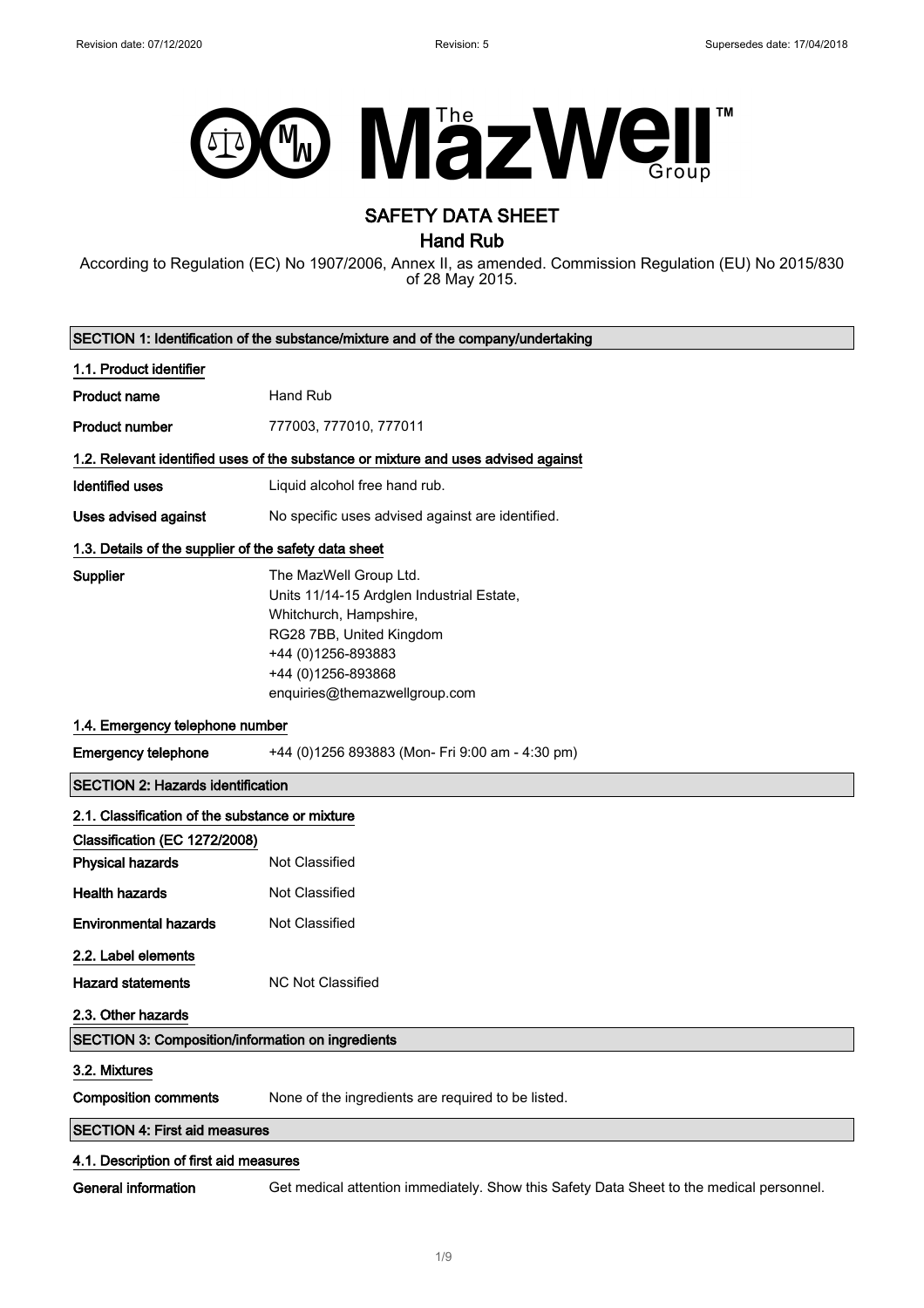

# SAFETY DATA SHEET

Hand Rub

According to Regulation (EC) No 1907/2006, Annex II, as amended. Commission Regulation (EU) No 2015/830 of 28 May 2015.

|                                                                                  | SECTION 1: Identification of the substance/mixture and of the company/undertaking                                                                                                                      |  |
|----------------------------------------------------------------------------------|--------------------------------------------------------------------------------------------------------------------------------------------------------------------------------------------------------|--|
| 1.1. Product identifier                                                          |                                                                                                                                                                                                        |  |
| <b>Product name</b>                                                              | Hand Rub                                                                                                                                                                                               |  |
| <b>Product number</b>                                                            | 777003, 777010, 777011                                                                                                                                                                                 |  |
|                                                                                  | 1.2. Relevant identified uses of the substance or mixture and uses advised against                                                                                                                     |  |
| <b>Identified uses</b>                                                           | Liquid alcohol free hand rub.                                                                                                                                                                          |  |
| <b>Uses advised against</b>                                                      | No specific uses advised against are identified.                                                                                                                                                       |  |
| 1.3. Details of the supplier of the safety data sheet                            |                                                                                                                                                                                                        |  |
| <b>Supplier</b>                                                                  | The MazWell Group Ltd.<br>Units 11/14-15 Ardglen Industrial Estate,<br>Whitchurch, Hampshire,<br>RG28 7BB, United Kingdom<br>+44 (0)1256-893883<br>+44 (0)1256-893868<br>enquiries@themazwellgroup.com |  |
| 1.4. Emergency telephone number                                                  |                                                                                                                                                                                                        |  |
| <b>Emergency telephone</b>                                                       | +44 (0)1256 893883 (Mon- Fri 9:00 am - 4:30 pm)                                                                                                                                                        |  |
| <b>SECTION 2: Hazards identification</b>                                         |                                                                                                                                                                                                        |  |
| 2.1. Classification of the substance or mixture<br>Classification (EC 1272/2008) |                                                                                                                                                                                                        |  |
| <b>Physical hazards</b>                                                          | Not Classified                                                                                                                                                                                         |  |
| <b>Health hazards</b>                                                            | <b>Not Classified</b>                                                                                                                                                                                  |  |
| <b>Environmental hazards</b>                                                     | Not Classified                                                                                                                                                                                         |  |
| 2.2. Label elements<br><b>Hazard statements</b><br>2.3. Other hazards            | <b>NC Not Classified</b>                                                                                                                                                                               |  |
| SECTION 3: Composition/information on ingredients                                |                                                                                                                                                                                                        |  |
| 3.2. Mixtures<br><b>Composition comments</b>                                     | None of the ingredients are required to be listed.                                                                                                                                                     |  |
| <b>SECTION 4: First aid measures</b>                                             |                                                                                                                                                                                                        |  |
| 4.1. Description of first aid measures                                           |                                                                                                                                                                                                        |  |
| General information                                                              | Get medical attention immediately. Show this Safety Data Sheet to the medical personnel.                                                                                                               |  |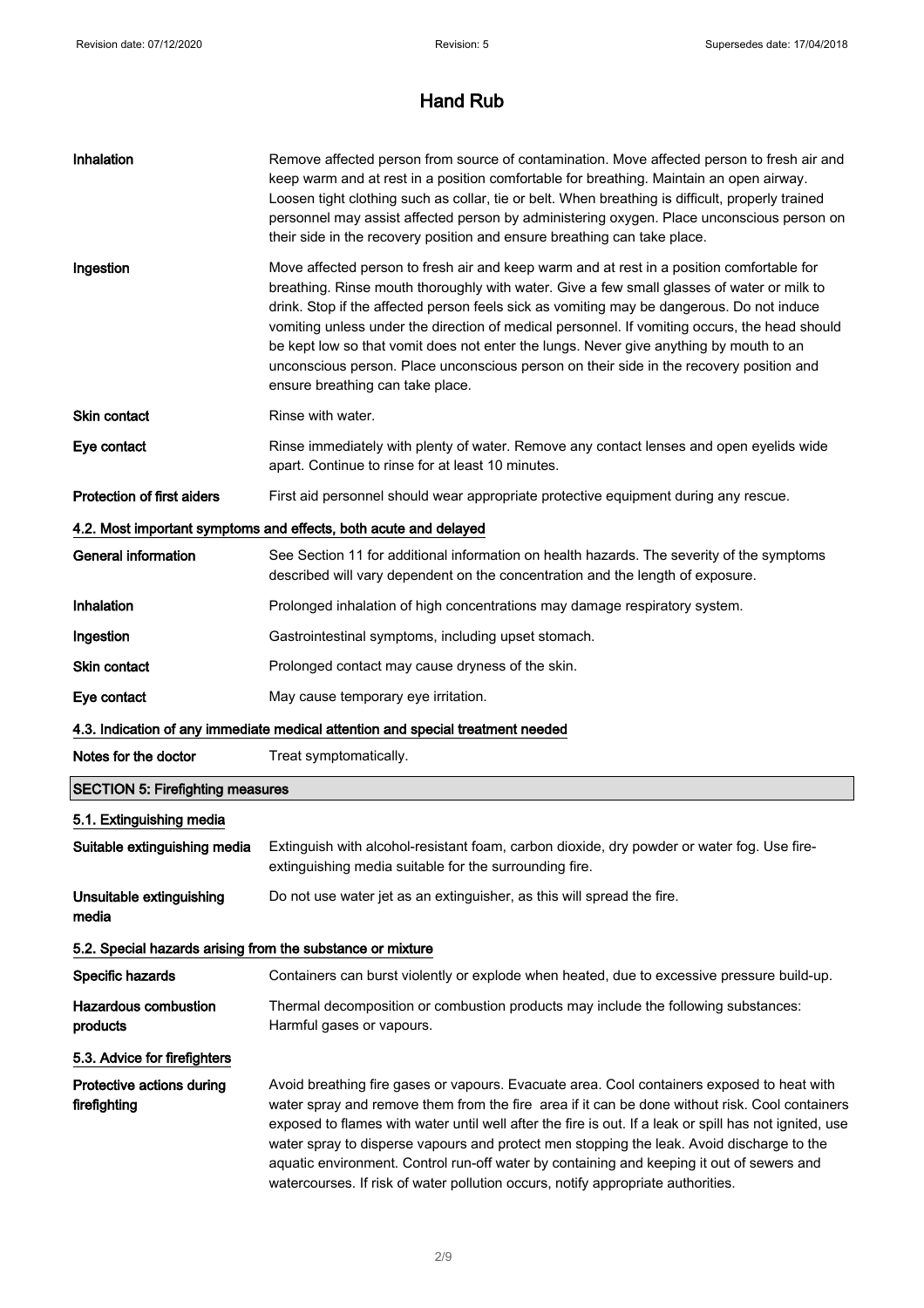| Inhalation                                                 | Remove affected person from source of contamination. Move affected person to fresh air and<br>keep warm and at rest in a position comfortable for breathing. Maintain an open airway.<br>Loosen tight clothing such as collar, tie or belt. When breathing is difficult, properly trained<br>personnel may assist affected person by administering oxygen. Place unconscious person on<br>their side in the recovery position and ensure breathing can take place.                                                                                                                                             |
|------------------------------------------------------------|----------------------------------------------------------------------------------------------------------------------------------------------------------------------------------------------------------------------------------------------------------------------------------------------------------------------------------------------------------------------------------------------------------------------------------------------------------------------------------------------------------------------------------------------------------------------------------------------------------------|
| Ingestion                                                  | Move affected person to fresh air and keep warm and at rest in a position comfortable for<br>breathing. Rinse mouth thoroughly with water. Give a few small glasses of water or milk to<br>drink. Stop if the affected person feels sick as vomiting may be dangerous. Do not induce<br>vomiting unless under the direction of medical personnel. If vomiting occurs, the head should<br>be kept low so that vomit does not enter the lungs. Never give anything by mouth to an<br>unconscious person. Place unconscious person on their side in the recovery position and<br>ensure breathing can take place. |
| Skin contact                                               | Rinse with water.                                                                                                                                                                                                                                                                                                                                                                                                                                                                                                                                                                                              |
| Eye contact                                                | Rinse immediately with plenty of water. Remove any contact lenses and open eyelids wide<br>apart. Continue to rinse for at least 10 minutes.                                                                                                                                                                                                                                                                                                                                                                                                                                                                   |
| <b>Protection of first aiders</b>                          | First aid personnel should wear appropriate protective equipment during any rescue.                                                                                                                                                                                                                                                                                                                                                                                                                                                                                                                            |
|                                                            | 4.2. Most important symptoms and effects, both acute and delayed                                                                                                                                                                                                                                                                                                                                                                                                                                                                                                                                               |
| <b>General information</b>                                 | See Section 11 for additional information on health hazards. The severity of the symptoms<br>described will vary dependent on the concentration and the length of exposure.                                                                                                                                                                                                                                                                                                                                                                                                                                    |
| Inhalation                                                 | Prolonged inhalation of high concentrations may damage respiratory system.                                                                                                                                                                                                                                                                                                                                                                                                                                                                                                                                     |
| Ingestion                                                  | Gastrointestinal symptoms, including upset stomach.                                                                                                                                                                                                                                                                                                                                                                                                                                                                                                                                                            |
| Skin contact                                               | Prolonged contact may cause dryness of the skin.                                                                                                                                                                                                                                                                                                                                                                                                                                                                                                                                                               |
| Eye contact                                                | May cause temporary eye irritation.                                                                                                                                                                                                                                                                                                                                                                                                                                                                                                                                                                            |
|                                                            | 4.3. Indication of any immediate medical attention and special treatment needed                                                                                                                                                                                                                                                                                                                                                                                                                                                                                                                                |
| Notes for the doctor                                       | Treat symptomatically.                                                                                                                                                                                                                                                                                                                                                                                                                                                                                                                                                                                         |
| <b>SECTION 5: Firefighting measures</b>                    |                                                                                                                                                                                                                                                                                                                                                                                                                                                                                                                                                                                                                |
| 5.1. Extinguishing media                                   |                                                                                                                                                                                                                                                                                                                                                                                                                                                                                                                                                                                                                |
| Suitable extinguishing media                               | Extinguish with alcohol-resistant foam, carbon dioxide, dry powder or water fog. Use fire-<br>extinguishing media suitable for the surrounding fire.                                                                                                                                                                                                                                                                                                                                                                                                                                                           |
| Unsuitable extinguishing<br>media                          | Do not use water jet as an extinguisher, as this will spread the fire.                                                                                                                                                                                                                                                                                                                                                                                                                                                                                                                                         |
| 5.2. Special hazards arising from the substance or mixture |                                                                                                                                                                                                                                                                                                                                                                                                                                                                                                                                                                                                                |
| Specific hazards                                           | Containers can burst violently or explode when heated, due to excessive pressure build-up.                                                                                                                                                                                                                                                                                                                                                                                                                                                                                                                     |
| <b>Hazardous combustion</b><br>products                    | Thermal decomposition or combustion products may include the following substances:<br>Harmful gases or vapours.                                                                                                                                                                                                                                                                                                                                                                                                                                                                                                |
| 5.3. Advice for firefighters                               |                                                                                                                                                                                                                                                                                                                                                                                                                                                                                                                                                                                                                |
| Protective actions during<br>firefighting                  | Avoid breathing fire gases or vapours. Evacuate area. Cool containers exposed to heat with<br>water spray and remove them from the fire area if it can be done without risk. Cool containers<br>exposed to flames with water until well after the fire is out. If a leak or spill has not ignited, use<br>water spray to disperse vapours and protect men stopping the leak. Avoid discharge to the<br>aquatic environment. Control run-off water by containing and keeping it out of sewers and<br>watercourses. If risk of water pollution occurs, notify appropriate authorities.                           |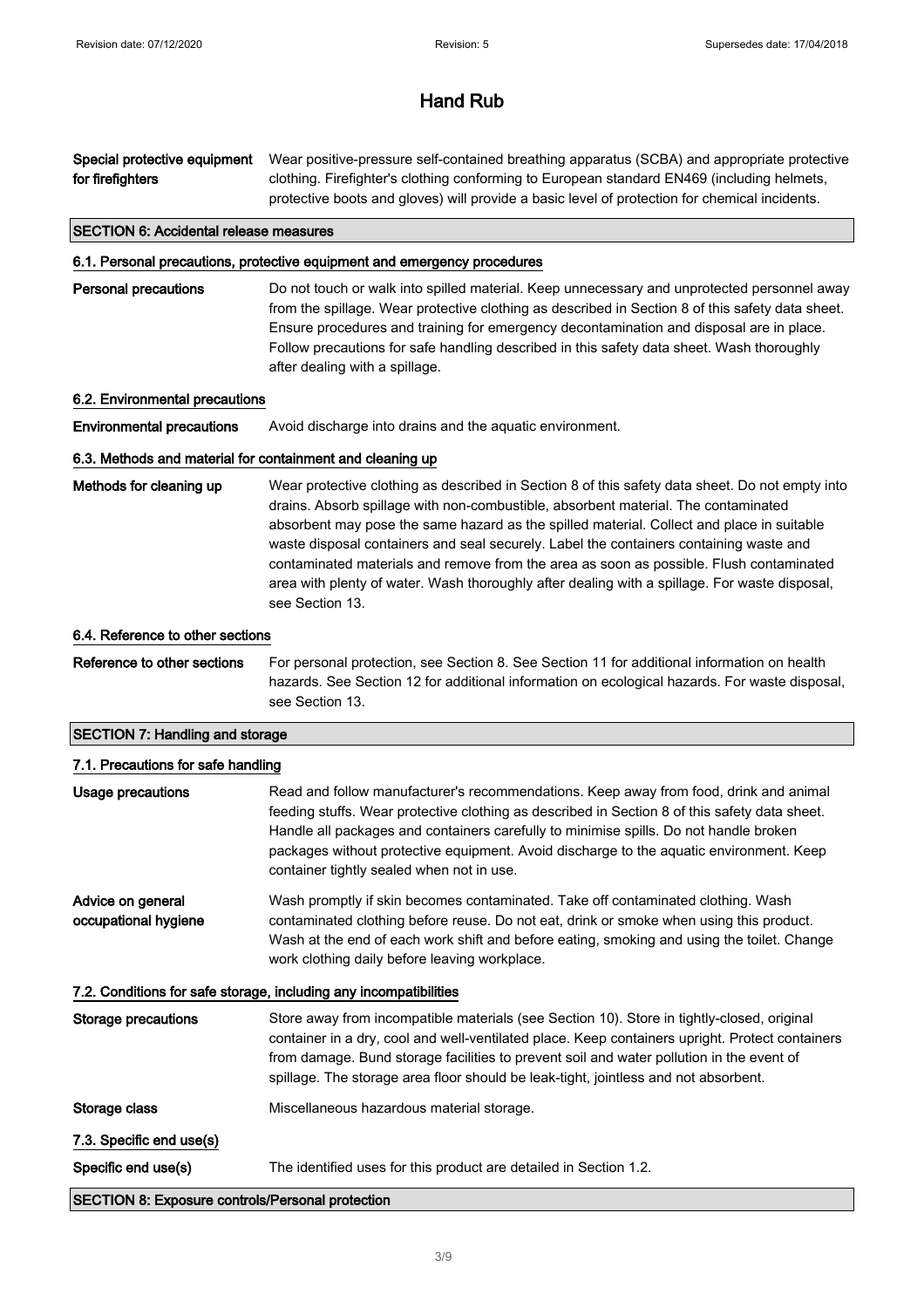Special protective equipment for firefighters Wear positive-pressure self-contained breathing apparatus (SCBA) and appropriate protective clothing. Firefighter's clothing conforming to European standard EN469 (including helmets, protective boots and gloves) will provide a basic level of protection for chemical incidents. SECTION 6: Accidental release measures 6.1. Personal precautions, protective equipment and emergency procedures Personal precautions Do not touch or walk into spilled material. Keep unnecessary and unprotected personnel away from the spillage. Wear protective clothing as described in Section 8 of this safety data sheet. Ensure procedures and training for emergency decontamination and disposal are in place. Follow precautions for safe handling described in this safety data sheet. Wash thoroughly after dealing with a spillage. 6.2. Environmental precautions **Environmental precautions** Avoid discharge into drains and the aquatic environment. 6.3. Methods and material for containment and cleaning up Methods for cleaning up Wear protective clothing as described in Section 8 of this safety data sheet. Do not empty into drains. Absorb spillage with non-combustible, absorbent material. The contaminated absorbent may pose the same hazard as the spilled material. Collect and place in suitable

waste disposal containers and seal securely. Label the containers containing waste and contaminated materials and remove from the area as soon as possible. Flush contaminated area with plenty of water. Wash thoroughly after dealing with a spillage. For waste disposal, see Section 13.

#### 6.4. Reference to other sections

Reference to other sections For personal protection, see Section 8. See Section 11 for additional information on health hazards. See Section 12 for additional information on ecological hazards. For waste disposal, see Section 13.

#### SECTION 7: Handling and storage

| 7.1. Precautions for safe handling                      |                                                                                                                                                                                                                                                                                                                                                                                                                         |
|---------------------------------------------------------|-------------------------------------------------------------------------------------------------------------------------------------------------------------------------------------------------------------------------------------------------------------------------------------------------------------------------------------------------------------------------------------------------------------------------|
| Usage precautions                                       | Read and follow manufacturer's recommendations. Keep away from food, drink and animal<br>feeding stuffs. Wear protective clothing as described in Section 8 of this safety data sheet.<br>Handle all packages and containers carefully to minimise spills. Do not handle broken<br>packages without protective equipment. Avoid discharge to the aquatic environment. Keep<br>container tightly sealed when not in use. |
| Advice on general<br>occupational hygiene               | Wash promptly if skin becomes contaminated. Take off contaminated clothing. Wash<br>contaminated clothing before reuse. Do not eat, drink or smoke when using this product.<br>Wash at the end of each work shift and before eating, smoking and using the toilet. Change<br>work clothing daily before leaving workplace.                                                                                              |
|                                                         | 7.2. Conditions for safe storage, including any incompatibilities                                                                                                                                                                                                                                                                                                                                                       |
| Storage precautions                                     | Store away from incompatible materials (see Section 10). Store in tightly-closed, original<br>container in a dry, cool and well-ventilated place. Keep containers upright. Protect containers<br>from damage. Bund storage facilities to prevent soil and water pollution in the event of<br>spillage. The storage area floor should be leak-tight, jointless and not absorbent.                                        |
| Storage class                                           | Miscellaneous hazardous material storage.                                                                                                                                                                                                                                                                                                                                                                               |
| 7.3. Specific end use(s)                                |                                                                                                                                                                                                                                                                                                                                                                                                                         |
| Specific end use(s)                                     | The identified uses for this product are detailed in Section 1.2.                                                                                                                                                                                                                                                                                                                                                       |
| <b>SECTION 8: Exposure controls/Personal protection</b> |                                                                                                                                                                                                                                                                                                                                                                                                                         |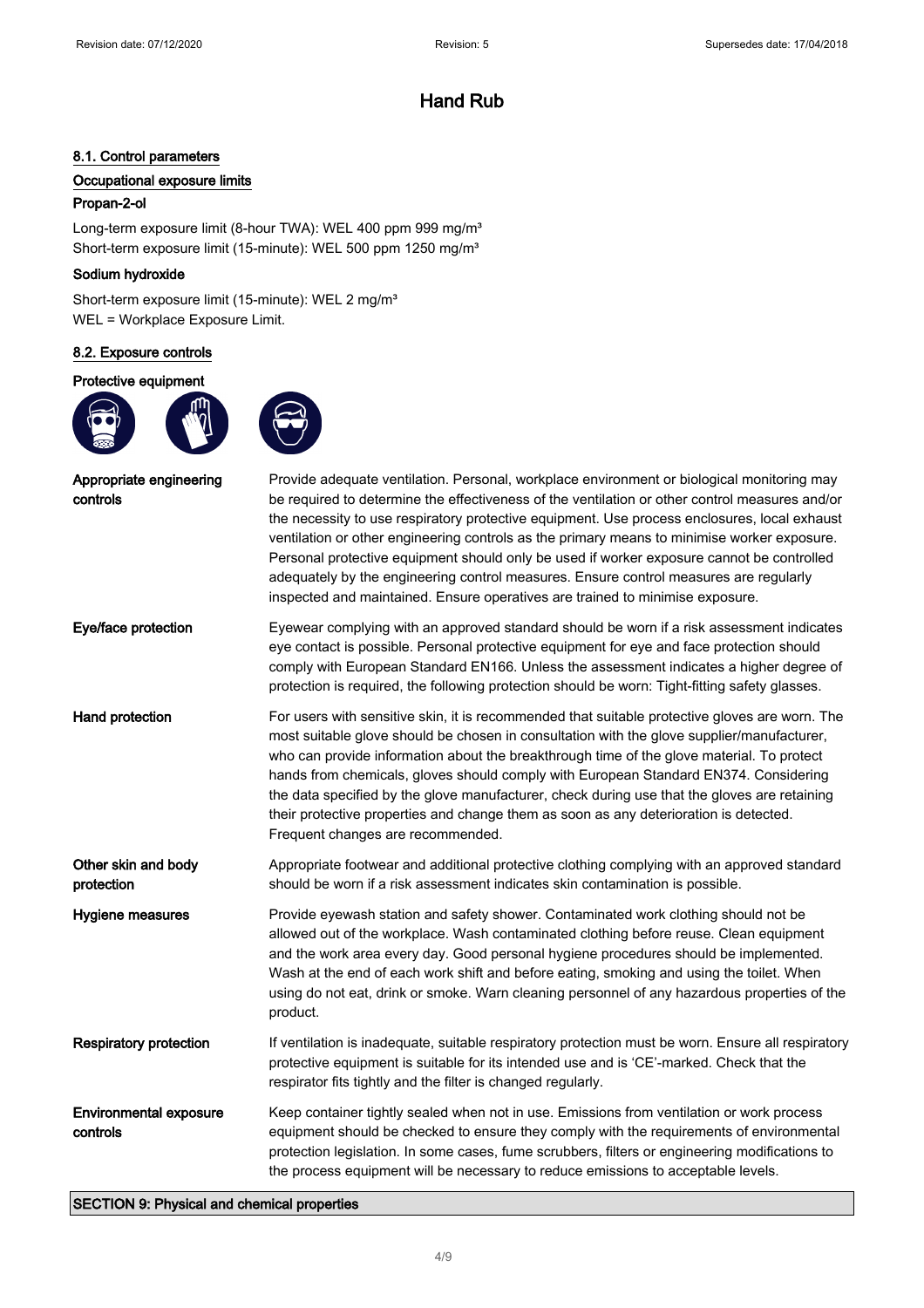### 8.1. Control parameters

### Occupational exposure limits

### Propan-2-ol

Long-term exposure limit (8-hour TWA): WEL 400 ppm 999 mg/m<sup>3</sup> Short-term exposure limit (15-minute): WEL 500 ppm 1250 mg/m<sup>3</sup>

### Sodium hydroxide

Short-term exposure limit (15-minute): WEL 2 mg/m<sup>3</sup> WEL = Workplace Exposure Limit.

### 8.2. Exposure controls

### Protective equipment



| Appropriate engineering<br>controls       | Provide adequate ventilation. Personal, workplace environment or biological monitoring may<br>be required to determine the effectiveness of the ventilation or other control measures and/or<br>the necessity to use respiratory protective equipment. Use process enclosures, local exhaust<br>ventilation or other engineering controls as the primary means to minimise worker exposure.<br>Personal protective equipment should only be used if worker exposure cannot be controlled<br>adequately by the engineering control measures. Ensure control measures are regularly<br>inspected and maintained. Ensure operatives are trained to minimise exposure. |
|-------------------------------------------|--------------------------------------------------------------------------------------------------------------------------------------------------------------------------------------------------------------------------------------------------------------------------------------------------------------------------------------------------------------------------------------------------------------------------------------------------------------------------------------------------------------------------------------------------------------------------------------------------------------------------------------------------------------------|
| Eye/face protection                       | Eyewear complying with an approved standard should be worn if a risk assessment indicates<br>eye contact is possible. Personal protective equipment for eye and face protection should<br>comply with European Standard EN166. Unless the assessment indicates a higher degree of<br>protection is required, the following protection should be worn: Tight-fitting safety glasses.                                                                                                                                                                                                                                                                                |
| <b>Hand protection</b>                    | For users with sensitive skin, it is recommended that suitable protective gloves are worn. The<br>most suitable glove should be chosen in consultation with the glove supplier/manufacturer,<br>who can provide information about the breakthrough time of the glove material. To protect<br>hands from chemicals, gloves should comply with European Standard EN374. Considering<br>the data specified by the glove manufacturer, check during use that the gloves are retaining<br>their protective properties and change them as soon as any deterioration is detected.<br>Frequent changes are recommended.                                                    |
| Other skin and body<br>protection         | Appropriate footwear and additional protective clothing complying with an approved standard<br>should be worn if a risk assessment indicates skin contamination is possible.                                                                                                                                                                                                                                                                                                                                                                                                                                                                                       |
| Hygiene measures                          | Provide eyewash station and safety shower. Contaminated work clothing should not be<br>allowed out of the workplace. Wash contaminated clothing before reuse. Clean equipment<br>and the work area every day. Good personal hygiene procedures should be implemented.<br>Wash at the end of each work shift and before eating, smoking and using the toilet. When<br>using do not eat, drink or smoke. Warn cleaning personnel of any hazardous properties of the<br>product.                                                                                                                                                                                      |
| <b>Respiratory protection</b>             | If ventilation is inadequate, suitable respiratory protection must be worn. Ensure all respiratory<br>protective equipment is suitable for its intended use and is 'CE'-marked. Check that the<br>respirator fits tightly and the filter is changed regularly.                                                                                                                                                                                                                                                                                                                                                                                                     |
| <b>Environmental exposure</b><br>controls | Keep container tightly sealed when not in use. Emissions from ventilation or work process<br>equipment should be checked to ensure they comply with the requirements of environmental<br>protection legislation. In some cases, fume scrubbers, filters or engineering modifications to<br>the process equipment will be necessary to reduce emissions to acceptable levels.                                                                                                                                                                                                                                                                                       |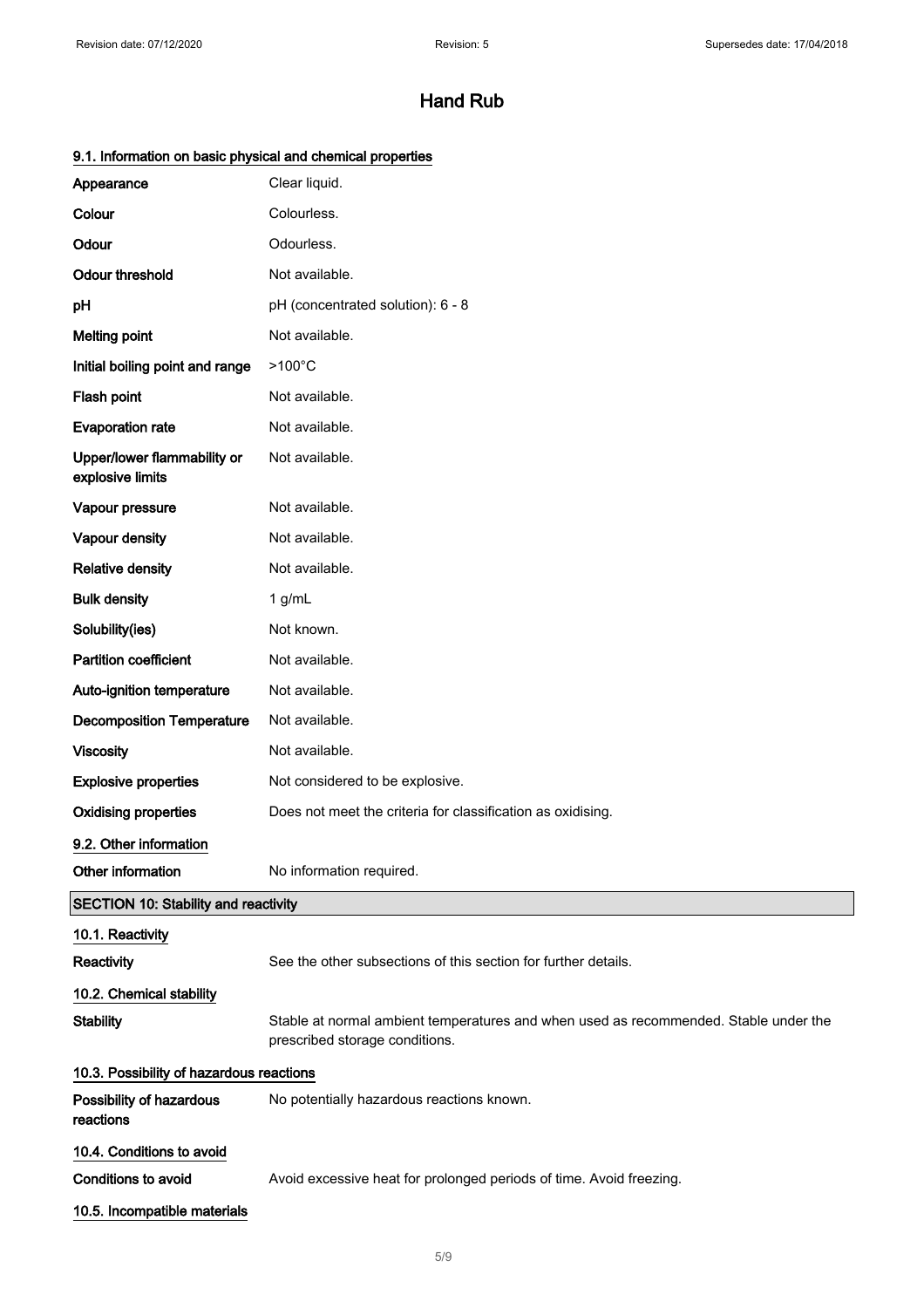| 9.1. Information on basic physical and chemical properties |  |
|------------------------------------------------------------|--|
|------------------------------------------------------------|--|

| Appearance                                      | Clear liquid.                                                                                                          |
|-------------------------------------------------|------------------------------------------------------------------------------------------------------------------------|
| Colour                                          | Colourless.                                                                                                            |
| Odour                                           | Odourless.                                                                                                             |
| <b>Odour threshold</b>                          | Not available.                                                                                                         |
| pH                                              | pH (concentrated solution): 6 - 8                                                                                      |
| <b>Melting point</b>                            | Not available.                                                                                                         |
| Initial boiling point and range                 | $>100^{\circ}$ C                                                                                                       |
| Flash point                                     | Not available.                                                                                                         |
| <b>Evaporation rate</b>                         | Not available.                                                                                                         |
| Upper/lower flammability or<br>explosive limits | Not available.                                                                                                         |
| Vapour pressure                                 | Not available.                                                                                                         |
| Vapour density                                  | Not available.                                                                                                         |
| <b>Relative density</b>                         | Not available.                                                                                                         |
| <b>Bulk density</b>                             | $1$ g/mL                                                                                                               |
| Solubility(ies)                                 | Not known.                                                                                                             |
| Partition coefficient                           | Not available.                                                                                                         |
| Auto-ignition temperature                       | Not available.                                                                                                         |
| <b>Decomposition Temperature</b>                | Not available.                                                                                                         |
| <b>Viscosity</b>                                | Not available.                                                                                                         |
| <b>Explosive properties</b>                     | Not considered to be explosive.                                                                                        |
| <b>Oxidising properties</b>                     | Does not meet the criteria for classification as oxidising.                                                            |
| 9.2. Other information                          |                                                                                                                        |
| Other information                               | No information required.                                                                                               |
| SECTION 10: Stability and reactivity            |                                                                                                                        |
| 10.1. Reactivity                                |                                                                                                                        |
| Reactivity                                      | See the other subsections of this section for further details.                                                         |
| 10.2. Chemical stability                        |                                                                                                                        |
| <b>Stability</b>                                | Stable at normal ambient temperatures and when used as recommended. Stable under the<br>prescribed storage conditions. |
| 10.3. Possibility of hazardous reactions        |                                                                                                                        |
| Possibility of hazardous<br>reactions           | No potentially hazardous reactions known.                                                                              |
| 10.4. Conditions to avoid                       |                                                                                                                        |
| <b>Conditions to avoid</b>                      | Avoid excessive heat for prolonged periods of time. Avoid freezing.                                                    |
| 10.5. Incompatible materials                    |                                                                                                                        |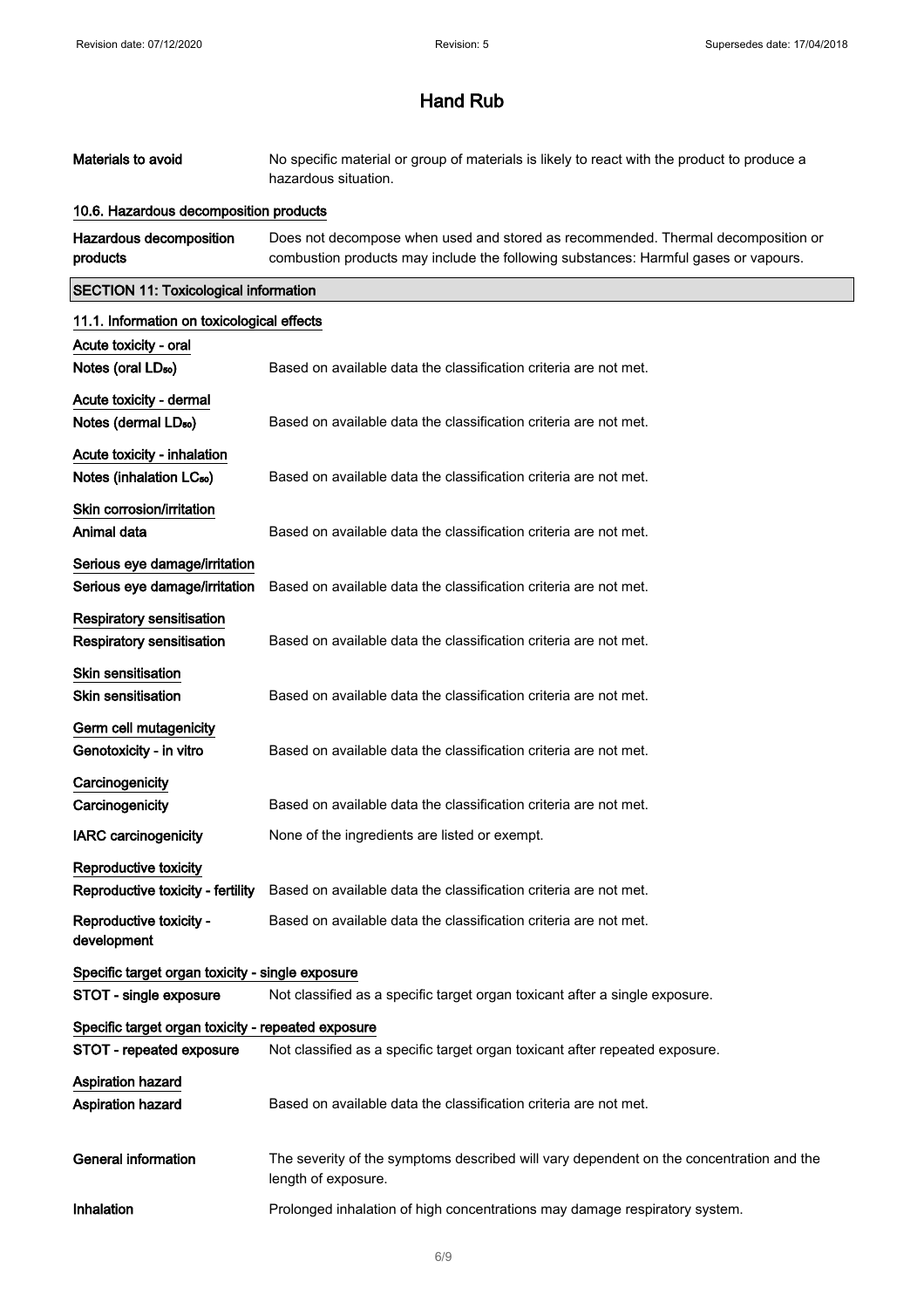| Materials to avoid                                 | No specific material or group of materials is likely to react with the product to produce a<br>hazardous situation.                                                     |  |
|----------------------------------------------------|-------------------------------------------------------------------------------------------------------------------------------------------------------------------------|--|
| 10.6. Hazardous decomposition products             |                                                                                                                                                                         |  |
| <b>Hazardous decomposition</b><br>products         | Does not decompose when used and stored as recommended. Thermal decomposition or<br>combustion products may include the following substances: Harmful gases or vapours. |  |
| <b>SECTION 11: Toxicological information</b>       |                                                                                                                                                                         |  |
| 11.1. Information on toxicological effects         |                                                                                                                                                                         |  |
| Acute toxicity - oral                              |                                                                                                                                                                         |  |
| Notes (oral LD <sub>50</sub> )                     | Based on available data the classification criteria are not met.                                                                                                        |  |
| Acute toxicity - dermal                            |                                                                                                                                                                         |  |
| Notes (dermal LD <sub>50</sub> )                   | Based on available data the classification criteria are not met.                                                                                                        |  |
| Acute toxicity - inhalation                        |                                                                                                                                                                         |  |
| Notes (inhalation LC <sub>50</sub> )               | Based on available data the classification criteria are not met.                                                                                                        |  |
| Skin corrosion/irritation                          |                                                                                                                                                                         |  |
| Animal data                                        | Based on available data the classification criteria are not met.                                                                                                        |  |
| Serious eye damage/irritation                      |                                                                                                                                                                         |  |
| Serious eye damage/irritation                      | Based on available data the classification criteria are not met.                                                                                                        |  |
| Respiratory sensitisation                          |                                                                                                                                                                         |  |
| <b>Respiratory sensitisation</b>                   | Based on available data the classification criteria are not met.                                                                                                        |  |
| Skin sensitisation                                 |                                                                                                                                                                         |  |
| Skin sensitisation                                 | Based on available data the classification criteria are not met.                                                                                                        |  |
| Germ cell mutagenicity                             |                                                                                                                                                                         |  |
| Genotoxicity - in vitro                            | Based on available data the classification criteria are not met.                                                                                                        |  |
| Carcinogenicity                                    |                                                                                                                                                                         |  |
| Carcinogenicity                                    | Based on available data the classification criteria are not met.                                                                                                        |  |
| <b>IARC carcinogenicity</b>                        | None of the ingredients are listed or exempt.                                                                                                                           |  |
| <b>Reproductive toxicity</b>                       |                                                                                                                                                                         |  |
|                                                    | Reproductive toxicity - fertility Based on available data the classification criteria are not met.                                                                      |  |
| Reproductive toxicity -                            | Based on available data the classification criteria are not met.                                                                                                        |  |
| development                                        |                                                                                                                                                                         |  |
| Specific target organ toxicity - single exposure   |                                                                                                                                                                         |  |
| STOT - single exposure                             | Not classified as a specific target organ toxicant after a single exposure.                                                                                             |  |
| Specific target organ toxicity - repeated exposure |                                                                                                                                                                         |  |
| <b>STOT - repeated exposure</b>                    | Not classified as a specific target organ toxicant after repeated exposure.                                                                                             |  |
| Aspiration hazard                                  |                                                                                                                                                                         |  |
| <b>Aspiration hazard</b>                           | Based on available data the classification criteria are not met.                                                                                                        |  |
|                                                    |                                                                                                                                                                         |  |
| General information                                | The severity of the symptoms described will vary dependent on the concentration and the<br>length of exposure.                                                          |  |
| Inhalation                                         | Prolonged inhalation of high concentrations may damage respiratory system.                                                                                              |  |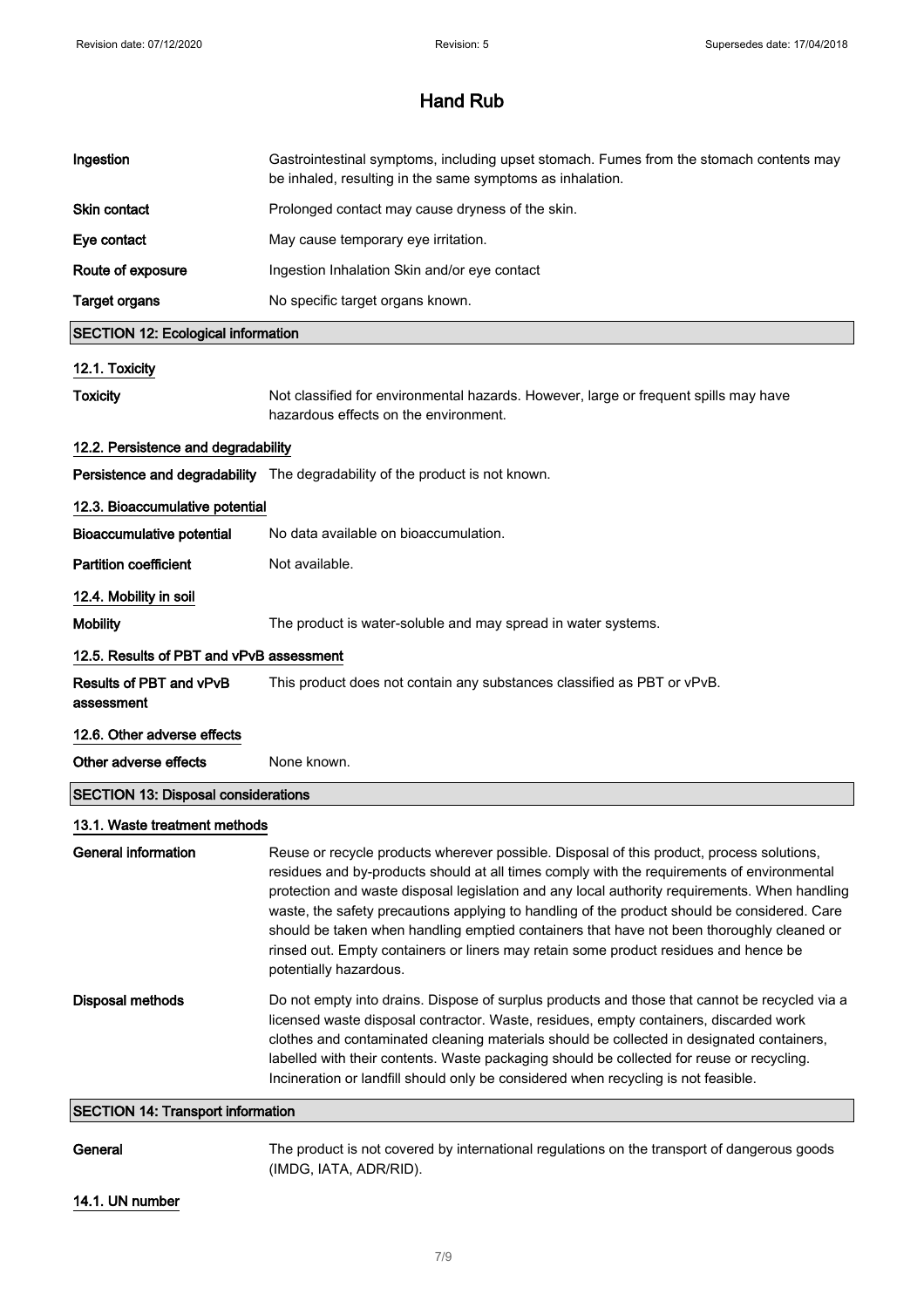| Ingestion                                  | Gastrointestinal symptoms, including upset stomach. Fumes from the stomach contents may<br>be inhaled, resulting in the same symptoms as inhalation.                                                                                                                                                                                                                                                                                                                                                                                                                                                    |
|--------------------------------------------|---------------------------------------------------------------------------------------------------------------------------------------------------------------------------------------------------------------------------------------------------------------------------------------------------------------------------------------------------------------------------------------------------------------------------------------------------------------------------------------------------------------------------------------------------------------------------------------------------------|
| <b>Skin contact</b>                        | Prolonged contact may cause dryness of the skin.                                                                                                                                                                                                                                                                                                                                                                                                                                                                                                                                                        |
| Eye contact                                | May cause temporary eye irritation.                                                                                                                                                                                                                                                                                                                                                                                                                                                                                                                                                                     |
| Route of exposure                          | Ingestion Inhalation Skin and/or eye contact                                                                                                                                                                                                                                                                                                                                                                                                                                                                                                                                                            |
| <b>Target organs</b>                       | No specific target organs known.                                                                                                                                                                                                                                                                                                                                                                                                                                                                                                                                                                        |
| <b>SECTION 12: Ecological information</b>  |                                                                                                                                                                                                                                                                                                                                                                                                                                                                                                                                                                                                         |
| 12.1. Toxicity                             |                                                                                                                                                                                                                                                                                                                                                                                                                                                                                                                                                                                                         |
| <b>Toxicity</b>                            | Not classified for environmental hazards. However, large or frequent spills may have<br>hazardous effects on the environment.                                                                                                                                                                                                                                                                                                                                                                                                                                                                           |
| 12.2. Persistence and degradability        |                                                                                                                                                                                                                                                                                                                                                                                                                                                                                                                                                                                                         |
|                                            | Persistence and degradability The degradability of the product is not known.                                                                                                                                                                                                                                                                                                                                                                                                                                                                                                                            |
| 12.3. Bioaccumulative potential            |                                                                                                                                                                                                                                                                                                                                                                                                                                                                                                                                                                                                         |
| <b>Bioaccumulative potential</b>           | No data available on bioaccumulation.                                                                                                                                                                                                                                                                                                                                                                                                                                                                                                                                                                   |
| <b>Partition coefficient</b>               | Not available.                                                                                                                                                                                                                                                                                                                                                                                                                                                                                                                                                                                          |
| 12.4. Mobility in soil                     |                                                                                                                                                                                                                                                                                                                                                                                                                                                                                                                                                                                                         |
| <b>Mobility</b>                            | The product is water-soluble and may spread in water systems.                                                                                                                                                                                                                                                                                                                                                                                                                                                                                                                                           |
| 12.5. Results of PBT and vPvB assessment   |                                                                                                                                                                                                                                                                                                                                                                                                                                                                                                                                                                                                         |
| Results of PBT and vPvB<br>assessment      | This product does not contain any substances classified as PBT or vPvB.                                                                                                                                                                                                                                                                                                                                                                                                                                                                                                                                 |
| 12.6. Other adverse effects                |                                                                                                                                                                                                                                                                                                                                                                                                                                                                                                                                                                                                         |
| Other adverse effects                      | None known.                                                                                                                                                                                                                                                                                                                                                                                                                                                                                                                                                                                             |
| <b>SECTION 13: Disposal considerations</b> |                                                                                                                                                                                                                                                                                                                                                                                                                                                                                                                                                                                                         |
| 13.1. Waste treatment methods              |                                                                                                                                                                                                                                                                                                                                                                                                                                                                                                                                                                                                         |
| <b>General information</b>                 | Reuse or recycle products wherever possible. Disposal of this product, process solutions,<br>residues and by-products should at all times comply with the requirements of environmental<br>protection and waste disposal legislation and any local authority requirements. When handling<br>waste, the safety precautions applying to handling of the product should be considered. Care<br>should be taken when handling emptied containers that have not been thoroughly cleaned or<br>rinsed out. Empty containers or liners may retain some product residues and hence be<br>potentially hazardous. |
| <b>Disposal methods</b>                    | Do not empty into drains. Dispose of surplus products and those that cannot be recycled via a<br>licensed waste disposal contractor. Waste, residues, empty containers, discarded work<br>clothes and contaminated cleaning materials should be collected in designated containers,<br>labelled with their contents. Waste packaging should be collected for reuse or recycling.<br>Incineration or landfill should only be considered when recycling is not feasible.                                                                                                                                  |
| <b>SECTION 14: Transport information</b>   |                                                                                                                                                                                                                                                                                                                                                                                                                                                                                                                                                                                                         |
| General                                    | The product is not covered by international regulations on the transport of dangerous goods<br>(IMDG, IATA, ADR/RID).                                                                                                                                                                                                                                                                                                                                                                                                                                                                                   |
| 14.1. UN number                            |                                                                                                                                                                                                                                                                                                                                                                                                                                                                                                                                                                                                         |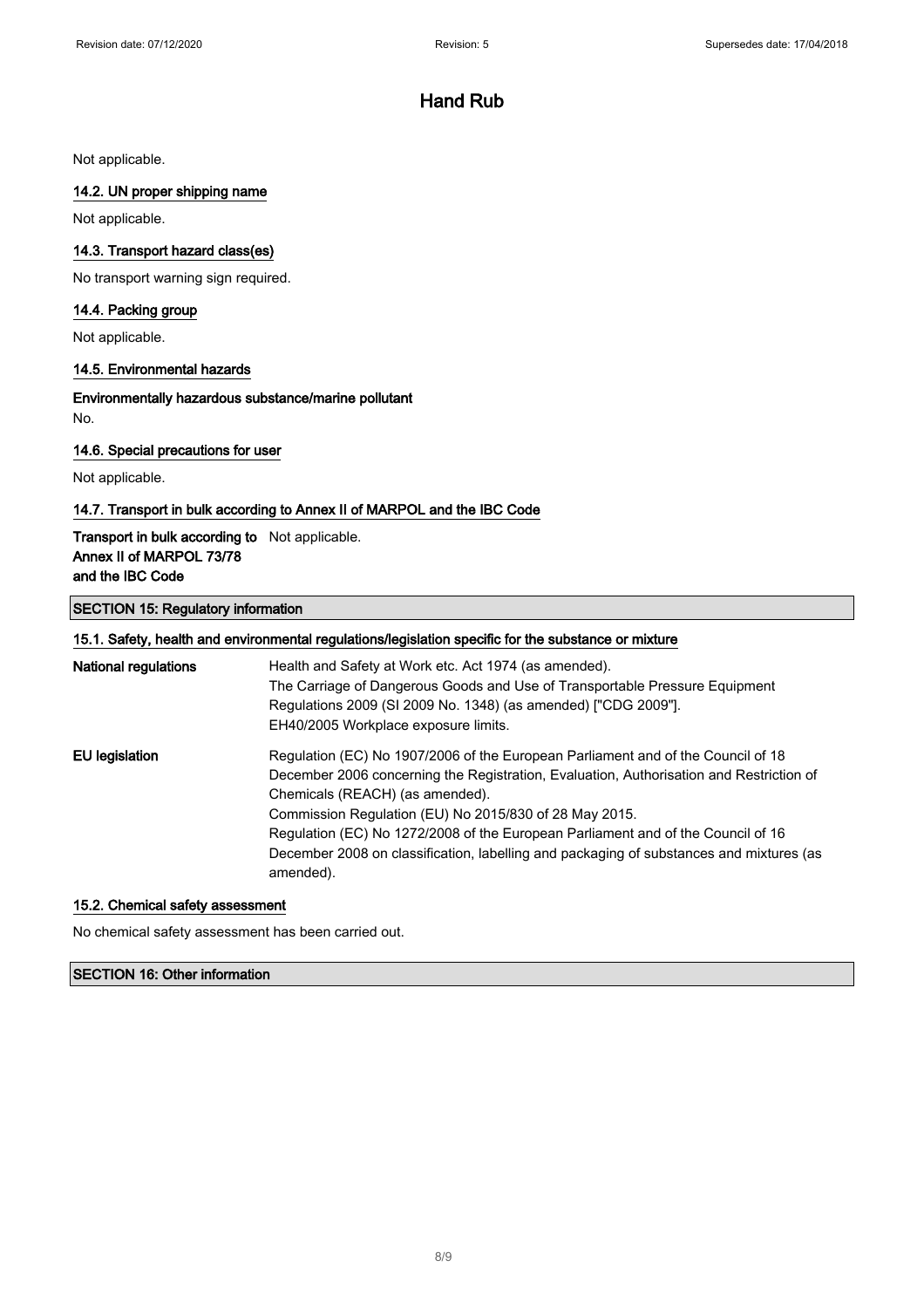Not applicable.

### 14.2. UN proper shipping name

Not applicable.

### 14.3. Transport hazard class(es)

No transport warning sign required.

### 14.4. Packing group

Not applicable.

#### 14.5. Environmental hazards

Environmentally hazardous substance/marine pollutant No.

#### 14.6. Special precautions for user

Not applicable.

#### 14.7. Transport in bulk according to Annex II of MARPOL and the IBC Code

### Transport in bulk according to Not applicable. Annex II of MARPOL 73/78 and the IBC Code

### SECTION 15: Regulatory information

|                             | 15.1. Safety, health and environmental regulations/legislation specific for the substance or mixture                                                                                                                                                                                                                                                                                                                                                                 |
|-----------------------------|----------------------------------------------------------------------------------------------------------------------------------------------------------------------------------------------------------------------------------------------------------------------------------------------------------------------------------------------------------------------------------------------------------------------------------------------------------------------|
| <b>National regulations</b> | Health and Safety at Work etc. Act 1974 (as amended).<br>The Carriage of Dangerous Goods and Use of Transportable Pressure Equipment<br>Regulations 2009 (SI 2009 No. 1348) (as amended) ["CDG 2009"].<br>EH40/2005 Workplace exposure limits.                                                                                                                                                                                                                       |
| EU legislation              | Regulation (EC) No 1907/2006 of the European Parliament and of the Council of 18<br>December 2006 concerning the Registration, Evaluation, Authorisation and Restriction of<br>Chemicals (REACH) (as amended).<br>Commission Regulation (EU) No 2015/830 of 28 May 2015.<br>Regulation (EC) No 1272/2008 of the European Parliament and of the Council of 16<br>December 2008 on classification, labelling and packaging of substances and mixtures (as<br>amended). |

#### 15.2. Chemical safety assessment

No chemical safety assessment has been carried out.

### SECTION 16: Other information